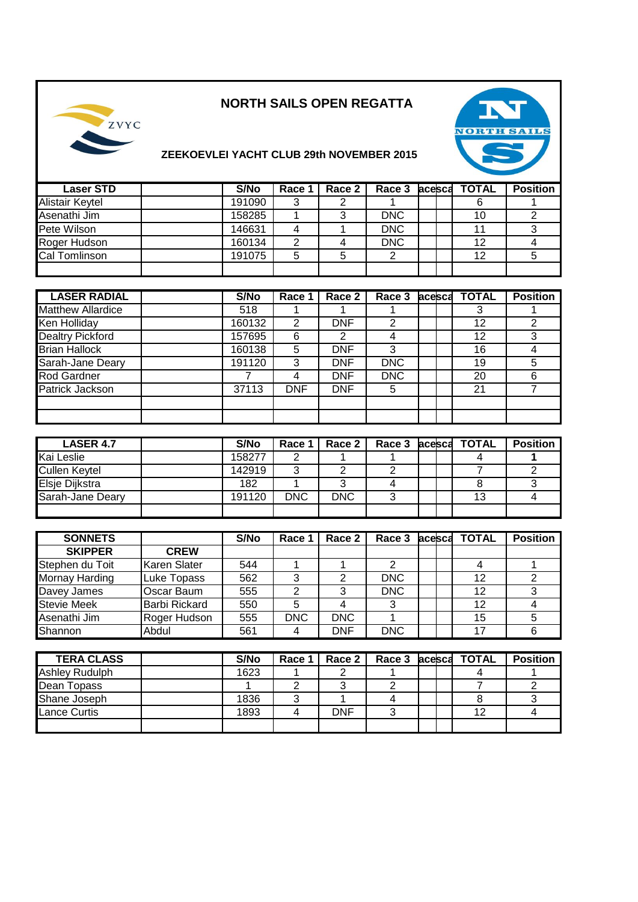## **NORTH SAILS OPEN REGATTA**





## **ZEEKOEVLEI YACHT CLUB 29th NOVEMBER 2015**

| <b>Laser STD</b> | S/No   | Race 1 | Race 2 |            | Race 3 acesca TOTAL | <b>Position</b> |
|------------------|--------|--------|--------|------------|---------------------|-----------------|
| Alistair Keytel  | 191090 | ◠<br>Ő |        |            |                     |                 |
| Asenathi Jim     | 158285 |        |        | <b>DNC</b> | 10                  |                 |
| Pete Wilson      | 146631 |        |        | <b>DNC</b> |                     |                 |
| Roger Hudson     | 160134 | ⌒      |        | <b>DNC</b> | 12                  |                 |
| Cal Tomlinson    | 191075 | 5      | 5      |            | 12                  |                 |
|                  |        |        |        |            |                     |                 |

| <b>LASER RADIAL</b>      | S/No   | Race 1     | Race 2     | Race 3     | acesca | <b>TOTAL</b> | <b>Position</b> |
|--------------------------|--------|------------|------------|------------|--------|--------------|-----------------|
| <b>Matthew Allardice</b> | 518    |            |            |            |        |              |                 |
| Ken Holliday             | 160132 | 2          | DNF        | ົ          |        | 12           |                 |
| <b>Dealtry Pickford</b>  | 157695 | 6          | 2          |            |        | 12           |                 |
| <b>Brian Hallock</b>     | 160138 | 5          | <b>DNF</b> |            |        | 16           |                 |
| Sarah-Jane Deary         | 191120 | 3          | <b>DNF</b> | <b>DNC</b> |        | 19           |                 |
| Rod Gardner              |        |            | <b>DNF</b> | <b>DNC</b> |        | 20           |                 |
| Patrick Jackson          | 37113  | <b>DNF</b> | <b>DNF</b> | 5          |        | 21           |                 |
|                          |        |            |            |            |        |              |                 |
|                          |        |            |            |            |        |              |                 |

| <b>LASER 4.7</b>     | S/No   | Race 1     | Race 2 I   | Race 3 acesca TOTAL |  |    | <b>Position</b> |
|----------------------|--------|------------|------------|---------------------|--|----|-----------------|
| Kai Leslie           | 158277 |            |            |                     |  |    |                 |
| <b>Cullen Keytel</b> | 142919 |            |            |                     |  |    |                 |
| Elsje Dijkstra       | 182    |            |            |                     |  |    |                 |
| Sarah-Jane Deary     | 191120 | <b>DNC</b> | <b>DNC</b> |                     |  | 13 |                 |
|                      |        |            |            |                     |  |    |                 |

| <b>SONNETS</b>     |                      | S/No | Race 1     | Race 2     | Race 3     | lacelscal | <b>TOTAL</b> | <b>Position</b> |
|--------------------|----------------------|------|------------|------------|------------|-----------|--------------|-----------------|
| <b>SKIPPER</b>     | <b>CREW</b>          |      |            |            |            |           |              |                 |
| Stephen du Toit    | Karen Slater         | 544  |            |            |            |           |              |                 |
| Mornay Harding     | Luke Topass          | 562  |            |            | <b>DNC</b> |           | 12           |                 |
| Davey James        | Oscar Baum           | 555  |            |            | <b>DNC</b> |           | 12           |                 |
| <b>Stevie Meek</b> | <b>Barbi Rickard</b> | 550  |            |            |            |           | 12           |                 |
| Asenathi Jim       | Roger Hudson         | 555  | <b>DNC</b> | <b>DNC</b> |            |           | 15           |                 |
| Shannon            | Abdul                | 561  |            | <b>DNF</b> | <b>DNC</b> |           |              |                 |

| <b>TERA CLASS</b>     | S/No | Race 1 | Race 2 |  | Race 3 acesca TOTAL | <b>Position</b> |
|-----------------------|------|--------|--------|--|---------------------|-----------------|
| <b>Ashley Rudulph</b> | 1623 |        |        |  |                     |                 |
| Dean Topass           |      |        |        |  |                     |                 |
| Shane Joseph          | 1836 |        |        |  |                     |                 |
| <b>Lance Curtis</b>   | 1893 |        | DNF    |  | 1 ຕ                 |                 |
|                       |      |        |        |  |                     |                 |